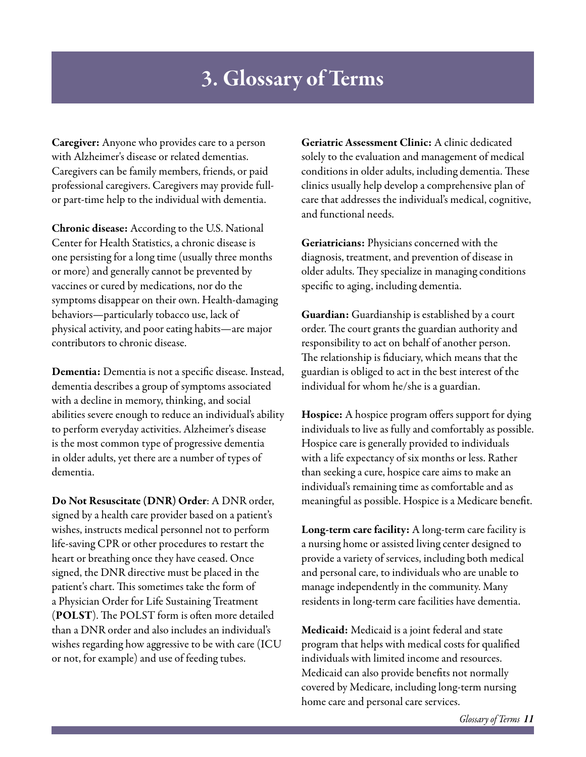## 3. Glossary of Terms

Caregiver: Anyone who provides care to a person with Alzheimer's disease or related dementias. Caregivers can be family members, friends, or paid professional caregivers. Caregivers may provide fullor part-time help to the individual with dementia.

Chronic disease: According to the U.S. National Center for Health Statistics, a chronic disease is one persisting for a long time (usually three months or more) and generally cannot be prevented by vaccines or cured by medications, nor do the symptoms disappear on their own. Health-damaging behaviors—particularly tobacco use, lack of physical activity, and poor eating habits—are major contributors to chronic disease.

Dementia: Dementia is not a specific disease. Instead, dementia describes a group of symptoms associated with a decline in memory, thinking, and social abilities severe enough to reduce an individual's ability to perform everyday activities. Alzheimer's disease is the most common type of progressive dementia in older adults, yet there are a number of types of dementia.

Do Not Resuscitate (DNR) Order: A DNR order, signed by a health care provider based on a patient's wishes, instructs medical personnel not to perform life-saving CPR or other procedures to restart the heart or breathing once they have ceased. Once signed, the DNR directive must be placed in the patient's chart. This sometimes take the form of a Physician Order for Life Sustaining Treatment (POLST). The POLST form is often more detailed than a DNR order and also includes an individual's wishes regarding how aggressive to be with care (ICU or not, for example) and use of feeding tubes.

Geriatric Assessment Clinic: A clinic dedicated solely to the evaluation and management of medical conditions in older adults, including dementia. These clinics usually help develop a comprehensive plan of care that addresses the individual's medical, cognitive, and functional needs.

Geriatricians: Physicians concerned with the diagnosis, treatment, and prevention of disease in older adults. They specialize in managing conditions specific to aging, including dementia.

Guardian: Guardianship is established by a court order. The court grants the guardian authority and responsibility to act on behalf of another person. The relationship is fiduciary, which means that the guardian is obliged to act in the best interest of the individual for whom he/she is a guardian.

Hospice: A hospice program offers support for dying individuals to live as fully and comfortably as possible. Hospice care is generally provided to individuals with a life expectancy of six months or less. Rather than seeking a cure, hospice care aims to make an individual's remaining time as comfortable and as meaningful as possible. Hospice is a Medicare benefit.

Long-term care facility: A long-term care facility is a nursing home or assisted living center designed to provide a variety of services, including both medical and personal care, to individuals who are unable to manage independently in the community. Many residents in long-term care facilities have dementia.

Medicaid: Medicaid is a joint federal and state program that helps with medical costs for qualified individuals with limited income and resources. Medicaid can also provide benefits not normally covered by Medicare, including long-term nursing home care and personal care services.